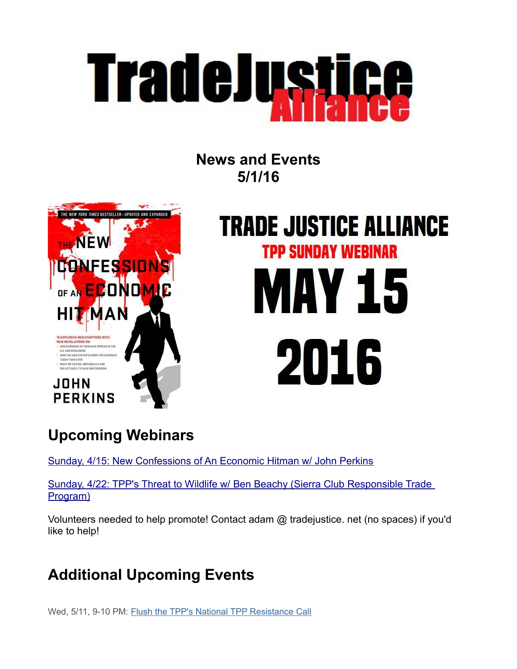

**News and Events 5/1/16**



# **TRADE JUSTICE ALLIANCE TPP SUNDAY WEBINAR** AY 15 2016

# **Upcoming Webinars**

[Sunday, 4/15: New Confessions of An Economic Hitman w/ John Perkins](https://www.facebook.com/events/100714303673346/?action_history=null&ref=4)

[Sunday, 4/22: TPP's Threat to Wildlife w/ Ben Beachy \(Sierra Club Responsible Trade](https://www.facebook.com/events/433964940107248/?action_history=null&ref=4)  [Program\)](https://www.facebook.com/events/433964940107248/?action_history=null&ref=4)

Volunteers needed to help promote! Contact adam @ tradejustice. net (no spaces) if you'd like to help!

# **Additional Upcoming Events**

Wed, 5/11, 9-10 PM: [Flush the TPP's National TPP Resistance Call](https://us7.admin.mailchimp.com/campaigns/:%20Flush%20the%20TPP)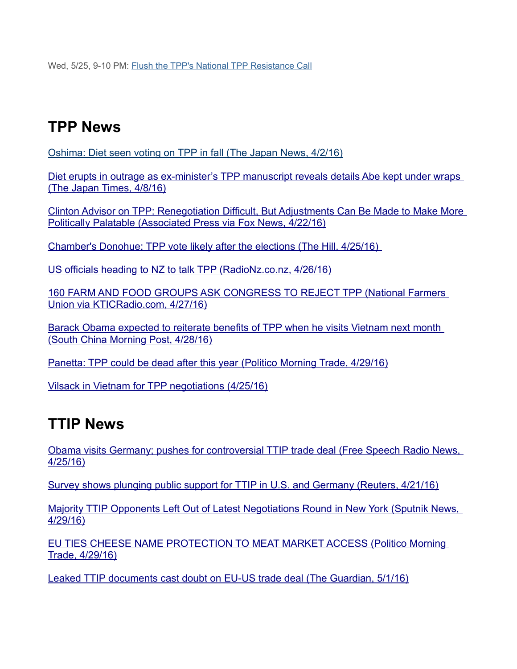Wed, 5/25, 9-10 PM: [Flush the TPP's National TPP Resistance Call](https://www.facebook.com/events/959609667493050/)

## **TPP News**

[Oshima: Diet seen voting on TPP in fall \(The Japan News, 4/2/16\)](http://the-japan-news.com/news/article/0002915451)

Diet erupts in outrage as ex-minister's TPP manuscript reveals details Abe kept under wraps [\(The Japan Times, 4/8/16\)](http://www.japantimes.co.jp/news/2016/04/08/national/politics-diplomacy/diet-erupts-outrage-ministers-tpp-manuscript-reveals-details-abe-kept-wraps/#.VyZvcb_3zIV)

[Clinton Advisor on TPP: Renegotiation Difficult, But Adjustments Can Be Made to Make More](http://www.foxnews.com/politics/2016/04/22/clinton-pivots-from-obamas-asia-policy-with-tpp-opposition.html)  [Politically Palatable \(Associated Press via Fox News, 4/22/16\)](http://www.foxnews.com/politics/2016/04/22/clinton-pivots-from-obamas-asia-policy-with-tpp-opposition.html)

 [Chamber's Donohue: TPP vote likely after the elections \(The Hill, 4/25/16\)](http://thehill.com/policy/finance/trade/277605-chambers-donohue-tpp-vote-likely-after-the-elections)

[US officials heading to NZ to talk TPP \(RadioNz.co.nz, 4/26/16\)](http://www.radionz.co.nz/news/national/302324/us-officials-heading-to-nz-to-talk-tpp)

[160 FARM AND FOOD GROUPS ASK CONGRESS TO REJECT TPP \(National Farmers](http://kticradio.com/agricultural/160-farm-and-food-groups-ask-congress-to-reject-tpp/)  [Union via KTICRadio.com, 4/27/16\)](http://kticradio.com/agricultural/160-farm-and-food-groups-ask-congress-to-reject-tpp/)

[Barack Obama expected to reiterate benefits of TPP when he visits Vietnam next month](http://www.scmp.com/news/asia/diplomacy/article/1939450/barack-obama-expected-reiterate-benefits-tpp-when-he-visits)  [\(South China Morning Post, 4/28/16\)](http://www.scmp.com/news/asia/diplomacy/article/1939450/barack-obama-expected-reiterate-benefits-tpp-when-he-visits)

 [Panetta: TPP could be dead after this year \(Politico Morning Trade, 4/29/16\)](http://www.politico.com/tipsheets/morning-trade/2016/04/panetta-tpp-could-be-dead-after-this-year-on-ttip-does-slow-and-steady-win-the-race-eu-ties-cheese-name-protection-to-meat-market-access-214033#ixzz47RPwnijW)

[Vilsack in Vietnam for TPP negotiations \(4/25/16\)](http://www.businessrecord.com/Content/Default/-All-Latest-News/Article/Vilsack-in-Vietnam-for-TPP-negotiations/-3/248/72934)

### **TTIP News**

[Obama visits Germany; pushes for controversial TTIP trade deal \(Free Speech Radio News,](https://fsrn.org/2016/04/obama-visits-germany-pushes-for-controversial-ttip-trade-deal/)  [4/25/16\)](https://fsrn.org/2016/04/obama-visits-germany-pushes-for-controversial-ttip-trade-deal/)

[Survey shows plunging public support for TTIP in U.S. and Germany \(Reuters, 4/21/16\)](http://www.reuters.com/article/us-europe-usa-trade-idUSKCN0XI0AT)

[Majority TTIP Opponents Left Out of Latest Negotiations Round in New York \(Sputnik News,](http://sputniknews.com/politics/20160429/1038806778/ttip-opponents-negotiations.html#ixzz47RrZgEeW)  [4/29/16\)](http://sputniknews.com/politics/20160429/1038806778/ttip-opponents-negotiations.html#ixzz47RrZgEeW)

[EU TIES CHEESE NAME PROTECTION TO MEAT MARKET ACCESS \(Politico Morning](http://www.politico.com/tipsheets/morning-trade/2016/04/panetta-tpp-could-be-dead-after-this-year-on-ttip-does-slow-and-steady-win-the-race-eu-ties-cheese-name-protection-to-meat-market-access-214033#ixzz47RsvRxMn)   [Trade, 4/29/16\)](http://www.politico.com/tipsheets/morning-trade/2016/04/panetta-tpp-could-be-dead-after-this-year-on-ttip-does-slow-and-steady-win-the-race-eu-ties-cheese-name-protection-to-meat-market-access-214033#ixzz47RsvRxMn)

[Leaked TTIP documents cast doubt on EU-US trade deal \(The Guardian, 5/1/16\)](http://www.theguardian.com/business/2016/may/01/leaked-ttip-documents-cast-doubt-on-eu-us-trade-deal)